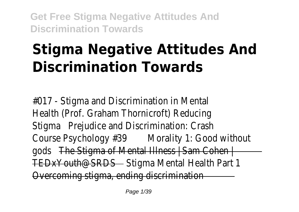# **Stigma Negative Attitudes And Discrimination Towards**

 $#O17$  - Stigma and Discrimination in Mental Health (Prof. Graham Thornicroft) Redu StigmaPrejudice and Discrimination: Cra Course Psychology **#30** railty 1: Good with gods The Stigma of Mental Illness  $\frac{1}{2}$  Sam Co TEDxYouth@SRDStigma Mental Health Part Overcoming stigma, ending discrimina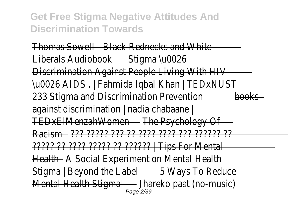Thomas Sowell - Black Rednecks and WI Liberals Audiobooktigma \u002 Discrimination Against People Living With \u0026 AIDS . | Fahmida Iqbal Khan | TEDxNUST 233 Stigma and Discrimination Preterotion against discrimination | nadia chabaa TEDxElMenzahWomene Psychology ( Racism??? ????? ??? ?? ???? ???? ??? ?????? ?? ????? ?? ???? ????? ?? ?????? | Tips For Mental HealthA Social Experiment on Mental HealthA Stigma | Beyond the Labelays To Reduce M<del>ental Health Stigiha</del>reko paat (no-mus<br><sup>Page 2/39</sup>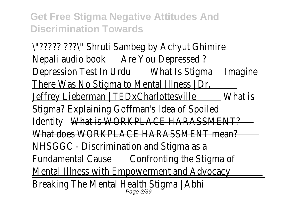\"????? ???\" Shruti Sambeg by Achyut Ghimire Nepali audio booke You Depressed Depression Test In Urd bat Is Stignmaaging There Was No Stigma to Mental Illness Jeffrey Lieberman | TEDxCharlott@ will be Stigma? Explaining Goffman's Idea of Spo Identit What is WORKPLACE HARASSMEN What does WORKPLACE HARASSMENT me NHSGGC - Discrimination and Stigma Fundamental Cau**Se**nfronting the Stigma Mental Illness with Empowerment and Advoca Breaking The Mental Health Stigma | Page 3/39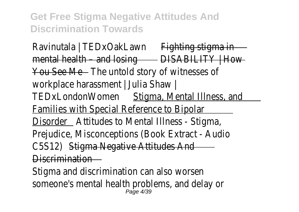Ravinutala | TEDxOakLawnahting stigma  $m$ ental health – and  $\log$ ISABILITY | How You See Mehe untold story of witnesses workplace harassment | Julia Shay TEDxLondonWomestigma, Mental Illness, and Families with Special Reference to Bipe DisorderAttitudes to Mental Illness - Stigma Prejudice, Misconceptions (Book Extract - Au C5S12\$tigma Negative Attitudes / Discrimination

Stigma and discrimination can also wors someone's mental health problems, and dela Page 4/39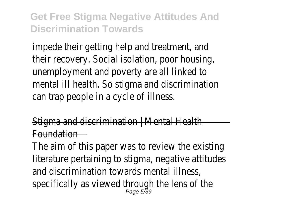impede their getting help and treatment. their recovery. Social isolation, poor house unemployment and poverty are all linked mental ill health. So stigma and discrimination can trap people in a cycle of illne

Stigma and discrimination  $\vdash$  Mental He Foundation

The aim of this paper was to review the existing literature pertaining to stigma, negative attitudes and discrimination towards mental illne specifically as viewed through the lens of Page 5/39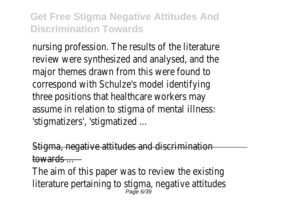nursing profession. The results of the literature review were synthesized and analysed, and major themes drawn from this were four correspond with Schulze's model identify three positions that healthcare workers assume in relation to stigma of mental illi 'stigmatizers', 'stigmatized

Stigma, negative attitudes and discrimination towards ...

The aim of this paper was to review the existing literature pertaining to stigma, negative atti<br>Page 6/39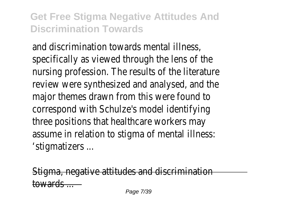and discrimination towards mental illne specifically as viewed through the lens of nursing profession. The results of the literature review were synthesized and analysed, and major themes drawn from this were four correspond with Schulze's model identify three positions that healthcare workers assume in relation to stigma of mental illi 'stigmatizers ...

t<del>igma, negative attitudes and discrim</del>ina towards ...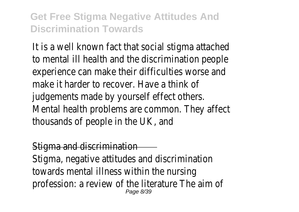It is a well known fact that social stigma atta to mental ill health and the discrimination pe experience can make their difficulties worse make it harder to recover. Have a thir judgements made by yourself effect othera. Mental health problems are common. They at thousands of people in the UK,  $\alpha$ 

#### Stigma and discrimination

Stigma, negative attitudes and discrimination towards mental illness within the nur profession: a review of the literature The a Page 8/39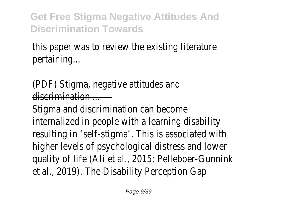this paper was to review the existing literature. pertaining.

(PDF) Stigma, negative attitudes discrimination ...

Stigma and discrimination can become internalized in people with a learning disab resulting in 'self-stigma'. This is associated higher levels of psychological distress and Ic quality of life (Ali et al., 2015; Pelleboer-Gun et al., 2019). The Disability Perception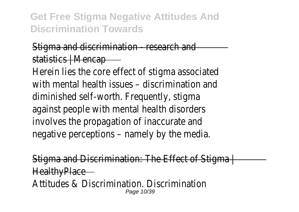#### Stigma and discrimination - research statistics | Menca

Herein lies the core effect of stigma assoc with mental health issues  $-$  discrimination diminished self-worth. Frequently, stideagainst people with mental health disord involves the propagation of inaccurate negative perceptions - namely by the me

Stigma and Discrimination: The Effect of Sti **HealthyPlac** Attitudes & Discrimination. Discrimina Page 10/39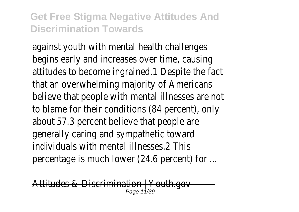against youth with mental health challer begins early and increases over time, cause attitudes to become ingrained.1 Despite the that an overwhelming majority of Americ believe that people with mental illnesses are to blame for their conditions  $(84$  percent), about 57.3 percent believe that people generally caring and sympathetic tow individuals with mental illnesses 2 T percentage is much lower  $(24.6$  percent) for

Attitudes & Discrimination | Youth Page 11/39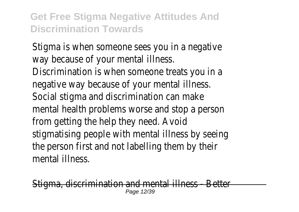Stigma is when someone sees you in a negative way because of your mental illne

Discrimination is when someone treats you negative way because of your mental illn Social stigma and discrimination can m mental health problems worse and stop a pe from getting the help they need. A stigmatising people with mental illness by see the person first and not labelling them by mental illness

 $\overline{\phantom{a}}$  discrimination and mental illness - Better Page 12/39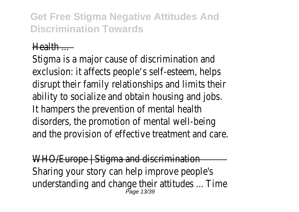#### Health ...

Stigma is a major cause of discrimination exclusion: it affects people's self-esteem, helps disrupt their family relationships and limits ability to socialize and obtain housing and jobs. It hampers the prevention of mental health disorders, the promotion of mental well-being and the provision of effective treatment and

WHO/Europe | Stigma and discrimina Sharing your story can help improve people understanding and change their attitudes ... Page 13/39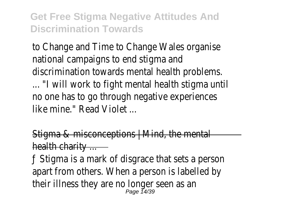to Change and Time to Change Wales organised national campaigns to end stigma discrimination towards mental health proble ... "I will work to fight mental health stigma no one has to go through negative experiences like mine." Read Violet

Stigma & misconceptions  $\frac{1}{2}$  Mind, the mental health charity

 $f$  Stigma is a mark of disgrace that sets a person apart from others. When a person is labelled their illness they are no longer seen a Page 14/39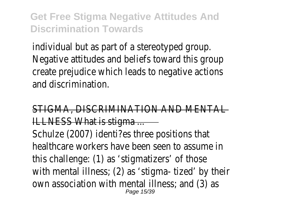individual but as part of a stereotyped grow Negative attitudes and beliefs toward this c create prejudice which leads to negative act and discrimination

#### STIGMA, DISCRIMINATION AND MENT ILLNESS What is stigma

Schulze (2007) identi?es three positions healthcare workers have been seen to assum this challenge:  $(1)$  as 'stigmatizers' of those with mental illness;  $(2)$  as 'stigma- tized' by own association with mental illness; and (3) Page 15/39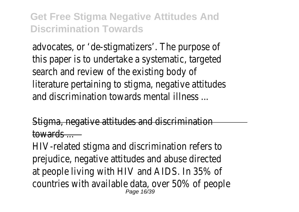advocates, or 'de-stigmatizers'. The purpos this paper is to undertake a systematic, tard search and review of the existing bod literature pertaining to stigma, negative attiand discrimination towards mental illnes

Stigma, negative attitudes and discrimination towards ...

HIV-related stigma and discrimination refer prejudice, negative attitudes and abuse dire at people living with HIV and AIDS. In 35% countries with available data, over 50% of people Page 16/39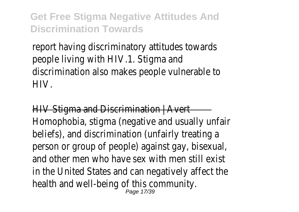report having discriminatory attitudes tow people living with HIV.1. Stigma a discrimination also makes people vulnerable HIV.

 $HIV$  Stigma and Discrimination  $\vert$  Av Homophobia, stigma (negative and usually un beliefs), and discrimination (unfairly treating person or group of people) against gay, bisex and other men who have sex with men still in the United States and can negatively affed health and well-being of this commur Page 17/39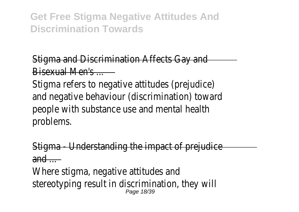## Stigma and Discrimination Affects Gay Bisexual Men's ...

Stigma refers to negative attitudes (prejudically and negative behaviour (discrimination) tow people with substance use and mental he problems.

- Understanding the impact of preju  $and$ 

Where stigma, negative attitudes stereotyping result in discrimination, they Page 18/39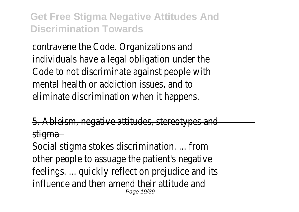contravene the Code. Organizations individuals have a legal obligation under Code to not discriminate against people mental health or addiction issues, and eliminate discrimination when it happen

5. Ableism, negative attitudes, stereotypes stiama

Social stigma stokes discrimination. ... from other people to assuage the patient's negative feelings. ... quickly reflect on prejudice and influence and then amend their attitude Page 19/39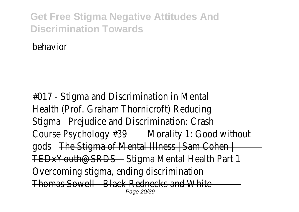behavior

 $#O17$  - Stigma and Discrimination in Mental Health (Prof. Graham Thornicroft) Redu Stigma Prejudice and Discrimination: Cra Course Psychology **#30** rality 1: Good with gods The Stigma of Mental Illness | Sam Co TEDxYouth@SRDStigma Mental Health Part Overcoming stigma, ending discrimina Thomas Sowell - Black Rednecks and WI Page 20/39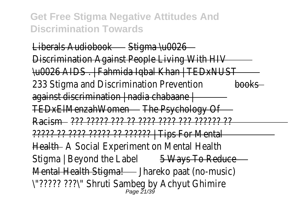Liberals Audiobooktigma \u002 Discrimination Against People Living With \u0026 AIDS . | Fahmida Iqbal Khan | TEDxNUST 233 Stigma and Discrimination Preteration  $a$ gainst discrimination | nadia chabaa TEDxElMenzahWomdhe Psychology ( Racism??? ????? ??? ?? ???? ???? ??? ?????? ?? ????? ?? ???? ????? ?? ?????? | Tips For Mental HealthA Social Experiment on Mental Health Stigma | Beyond the Labelays To Reduce Mental Health Stigmareko paat (no-music) \"????? ???\" Shruti Sambeg by Achyut Ghimire Page 21/39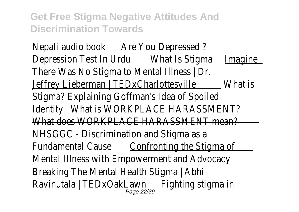Nepali audio booke You Depressed Depression Test In Urd bat Is Stignmaagine There Was No Stigma to Mental Illness Jeffrey Lieberman | TEDxCharlott@ will be Stigma? Explaining Goffman's Idea of Spo Identit What is WORKPLACE HARASSMEN What does WORKPLACE HARASSMENT me NHSGGC - Discrimination and Stigma Fundamental Cau**Senfronting the Stigma** Mental Illness with Empowerment and Advor Breaking The Mental Health Stigma Ravinutala | TEDxOakLawn atigma Page 22/39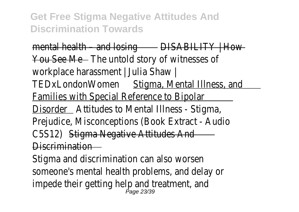$m$ ental health – and  $lo$ BISABILITY | How You See Mehe untold story of witnesses workplace harassment | Julia Shaw TEDxLondonWomestigma, Mental Illness, and Families with Special Reference to Bipe DisorderAttitudes to Mental Illness - Stigma Prejudice, Misconceptions (Book Extract - Audio C5S12\$tigma Negative Attitudes / Discrimination

Stigma and discrimination can also wor someone's mental health problems, and delay impede their getting help and treatment<br>Page 23/39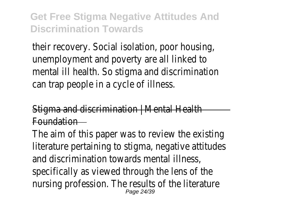their recovery. Social isolation, poor house unemployment and poverty are all linked mental ill health. So stigma and discrimination can trap people in a cycle of illne

 $Stigma$  and discrimination | Mental Health Foundation

The aim of this paper was to review the existing literature pertaining to stigma, negative attitudes and discrimination towards mental illn specifically as viewed through the lens of nursing profession. The results of the literature Page 24/39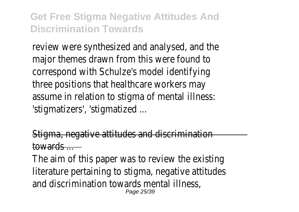review were synthesized and analysed, and major themes drawn from this were four correspond with Schulze's model identify three positions that healthcare workers assume in relation to stigma of mental illi 'stigmatizers', 'stigmatized

Stigma, negative attitudes and discrimination towards ...

The aim of this paper was to review the existing literature pertaining to stigma, negative attitudes and discrimination towards mental illne Page 25/39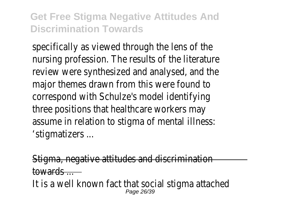specifically as viewed through the lens of nursing profession. The results of the literature review were synthesized and analysed, and major themes drawn from this were four correspond with Schulze's model identif three positions that healthcare workers assume in relation to stigma of mental illi 'stigmatizers ...

Stigma, negative attitudes and discrimination towards ...

It is a well known fact that social stigma atta Page 26/39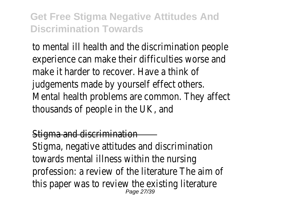to mental ill health and the discrimination pe experience can make their difficulties worse make it harder to recover. Have a thir judgements made by yourself effect otheration Mental health problems are common. They at thousands of people in the UK,  $\alpha$ 

#### **Stigma and discrimination**

Stigma, negative attitudes and discrimination towards mental illness within the nur profession: a review of the literature The all this paper was to review the existing literature Page 27/39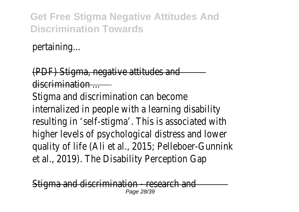pertaining...

(PDF) Stigma, negative attitudes discrimination ...

Stigma and discrimination can become internalized in people with a learning disab resulting in 'self-stigma'. This is associated higher levels of psychological distress and Ic quality of life (Ali et al., 2015; Pelleboer-Gun et al., 2019). The Disability Perception

<del>discrimination - resear</del>ch Page 28/39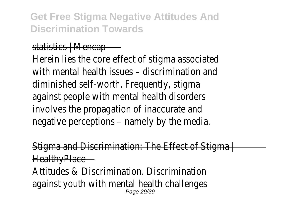#### statistics | Menca

Herein lies the core effect of stigma assoc with mental health issues  $-$  discrimination diminished self-worth. Frequently, stid against people with mental health disore involves the propagation of inaccurate negative perceptions - namely by the me

d Discrimination: The Effect of Sti **HealthyPlac** 

Attitudes & Discrimination. Discrimina against youth with mental health challer Page 29/39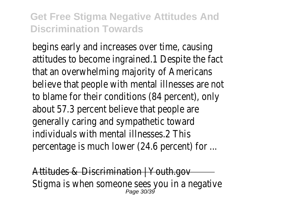begins early and increases over time, cau attitudes to become ingrained.1 Despite the that an overwhelming majority of Americ believe that people with mental illnesses are to blame for their conditions  $(84 \text{ percent})$ , about 57.3 percent believe that people generally caring and sympathetic tow individuals with mental illnesses  $2$  T percentage is much lower  $(24.6$  percent) for

Attitudes & Discrimination | Youth Stigma is when someone sees you in a negative Page 30/39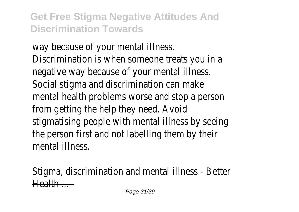way because of your mental illne Discrimination is when someone treats you negative way because of your mental illn Social stigma and discrimination can m mental health problems worse and stop a pe from getting the help they need. A stigmatising people with mental illness by see the person first and not labelling them by mental illness

Stigma, discrimination and mental illness - Better  $H = H + H$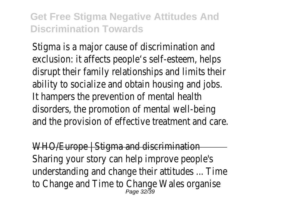Stigma is a major cause of discrimination exclusion: it affects people's self-esteem, helps disrupt their family relationships and limits ability to socialize and obtain housing and jobs. It hampers the prevention of mental he disorders, the promotion of mental well-being and the provision of effective treatment and

WHO/Europe | Stigma and discrimina Sharing your story can help improve peop understanding and change their attitudes ... to Change and Time to Change Wales organised Page 32/39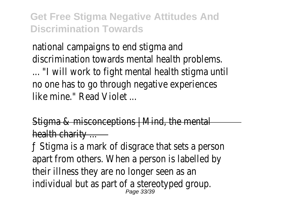national campaigns to end stigma discrimination towards mental health proble

... "I will work to fight mental health stigma no one has to go through negative experiences like mine." Read Violet

Stigma  $&$  misconceptions  $\vdash$  Mind, the mental health charity

 $f$  Stigma is a mark of disgrace that sets a person apart from others. When a person is labelle their illness they are no longer seen a individual but as part of a stereotyped group. Page 33/39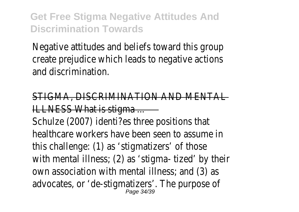Negative attitudes and beliefs toward this c create prejudice which leads to negative act and discrimination

STIGMA, DISCRIMINATION AND MENT **ILLNESS What is stigma** 

Schulze (2007) identi?es three positions healthcare workers have been seen to assun this challenge: (1) as 'stigmatizers' of the with mental illness;  $(2)$  as 'stigma- tized' by own association with mental illness; and (3) advocates, or 'de-stigmatizers'. The purpos Page 34/39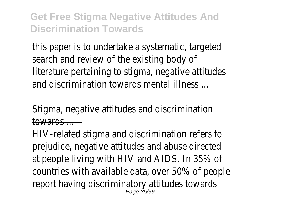this paper is to undertake a systematic, tard search and review of the existing bod literature pertaining to stigma, negative attiand discrimination towards mental illnes

Stigma, negative attitudes and discrimination towards ...

HIV-related stigma and discrimination refer prejudice, negative attitudes and abuse dire at people living with HIV and AIDS. In 35% countries with available data, over 50% of people report having discriminatory attitudes tow **Page 35/30**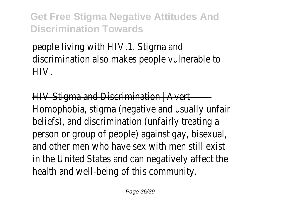people living with HIV.1. Stigma and discrimination also makes people vulnerable HIV.

 $HIV$  Stigma and Discrimination  $\mid$  A Homophobia, stigma (negative and usually un beliefs), and discrimination (unfairly treating person or group of people) against gay, bisex and other men who have sex with men still in the United States and can negatively affed health and well-being of this community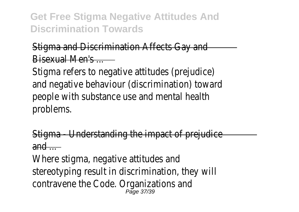#### Stigma and Discrimination Affects Gay Bisexual Men's ...

Stigma refers to negative attitudes (prejudication and negative behaviour (discrimination) tow people with substance use and mental he problems.

Stigma - Understanding the impact of prejudice  $and -$ 

Where stigma, negative attitudes stereotyping result in discrimination, they contravene the Code. Organizations Page 37/39